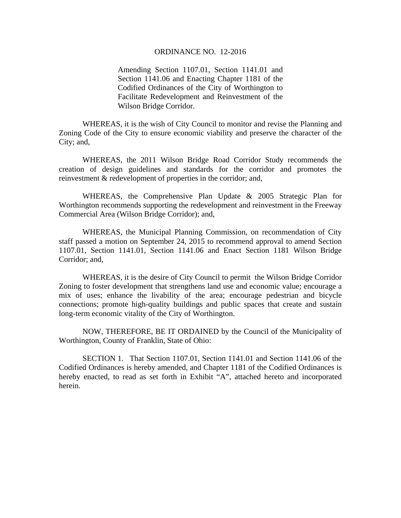#### ORDINANCE NO. 12-2016

Amending Section 1107.01, Section 1141.01 and Section 1141.06 and Enacting Chapter 1181 of the Codified Ordinances of the City of Worthington to Facilitate Redevelopment and Reinvestment of the Wilson Bridge Corridor.

WHEREAS, it is the wish of City Council to monitor and revise the Planning and Zoning Code of the City to ensure economic viability and preserve the character of the City; and,

WHEREAS, the 2011 Wilson Bridge Road Corridor Study recommends the creation of design guidelines and standards for the corridor and promotes the reinvestment & redevelopment of properties in the corridor; and,

WHEREAS, the Comprehensive Plan Update & 2005 Strategic Plan for Worthington recommends supporting the redevelopment and reinvestment in the Freeway Commercial Area (Wilson Bridge Corridor); and,

WHEREAS, the Municipal Planning Commission, on recommendation of City staff passed a motion on September 24, 2015 to recommend approval to amend Section 1107.01, Section 1141.01, Section 1141.06 and Enact Section 1181 Wilson Bridge Corridor; and,

WHEREAS, it is the desire of City Council to permit the Wilson Bridge Corridor Zoning to foster development that strengthens land use and economic value; encourage a mix of uses; enhance the livability of the area; encourage pedestrian and bicycle connections; promote high-quality buildings and public spaces that create and sustain long-term economic vitality of the City of Worthington.

 NOW, THEREFORE, BE IT ORDAINED by the Council of the Municipality of Worthington, County of Franklin, State of Ohio:

 SECTION 1. That Section 1107.01, Section 1141.01 and Section 1141.06 of the Codified Ordinances is hereby amended, and Chapter 1181 of the Codified Ordinances is hereby enacted, to read as set forth in Exhibit "A", attached hereto and incorporated herein.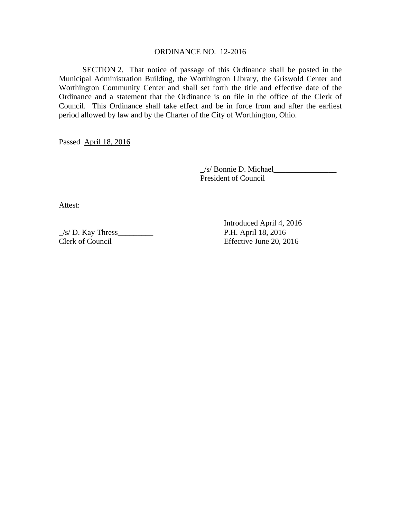#### ORDINANCE NO. 12-2016

 SECTION 2. That notice of passage of this Ordinance shall be posted in the Municipal Administration Building, the Worthington Library, the Griswold Center and Worthington Community Center and shall set forth the title and effective date of the Ordinance and a statement that the Ordinance is on file in the office of the Clerk of Council. This Ordinance shall take effect and be in force from and after the earliest period allowed by law and by the Charter of the City of Worthington, Ohio.

Passed April 18, 2016

 \_/s/ Bonnie D. Michael\_\_\_\_\_\_\_\_\_\_\_\_\_\_\_\_ President of Council

Attest:

 $\frac{1}{s}$  D. Kay Thress P.H. April 18, 2016

 Introduced April 4, 2016 Clerk of Council Effective June 20, 2016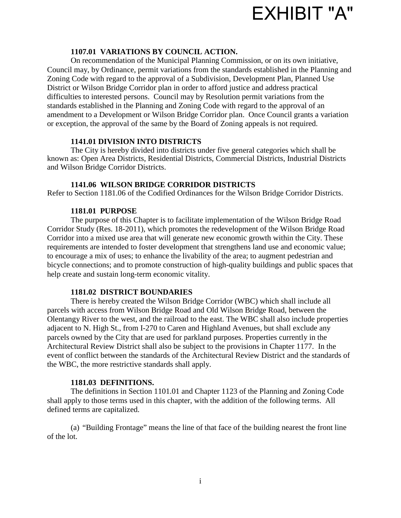

### **1107.01 VARIATIONS BY COUNCIL ACTION.**

On recommendation of the Municipal Planning Commission, or on its own initiative, Council may, by Ordinance, permit variations from the standards established in the Planning and Zoning Code with regard to the approval of a Subdivision, Development Plan, Planned Use District or Wilson Bridge Corridor plan in order to afford justice and address practical difficulties to interested persons. Council may by Resolution permit variations from the standards established in the Planning and Zoning Code with regard to the approval of an amendment to a Development or Wilson Bridge Corridor plan. Once Council grants a variation or exception, the approval of the same by the Board of Zoning appeals is not required.

#### **1141.01 DIVISION INTO DISTRICTS**

The City is hereby divided into districts under five general categories which shall be known as: Open Area Districts, Residential Districts, Commercial Districts, Industrial Districts and Wilson Bridge Corridor Districts.

### **1141.06 WILSON BRIDGE CORRIDOR DISTRICTS**

Refer to Section 1181.06 of the Codified Ordinances for the Wilson Bridge Corridor Districts.

### **1181.01 PURPOSE**

 The purpose of this Chapter is to facilitate implementation of the Wilson Bridge Road Corridor Study (Res. 18-2011), which promotes the redevelopment of the Wilson Bridge Road Corridor into a mixed use area that will generate new economic growth within the City. These requirements are intended to foster development that strengthens land use and economic value; to encourage a mix of uses; to enhance the livability of the area; to augment pedestrian and bicycle connections; and to promote construction of high-quality buildings and public spaces that help create and sustain long-term economic vitality.

#### **1181.02 DISTRICT BOUNDARIES**

There is hereby created the Wilson Bridge Corridor (WBC) which shall include all parcels with access from Wilson Bridge Road and Old Wilson Bridge Road, between the Olentangy River to the west, and the railroad to the east. The WBC shall also include properties adjacent to N. High St., from I-270 to Caren and Highland Avenues, but shall exclude any parcels owned by the City that are used for parkland purposes. Properties currently in the Architectural Review District shall also be subject to the provisions in Chapter 1177. In the event of conflict between the standards of the Architectural Review District and the standards of the WBC, the more restrictive standards shall apply.

#### **1181.03 DEFINITIONS.**

The definitions in Section 1101.01 and Chapter 1123 of the Planning and Zoning Code shall apply to those terms used in this chapter, with the addition of the following terms. All defined terms are capitalized.

(a) "Building Frontage" means the line of that face of the building nearest the front line of the lot.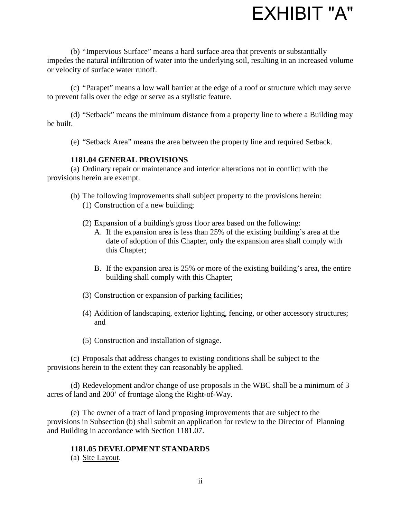

(b) "Impervious Surface" means a hard surface area that prevents or substantially impedes the natural infiltration of water into the underlying soil, resulting in an increased volume or velocity of surface water runoff.

(c) "Parapet" means a low wall barrier at the edge of a roof or structure which may serve to prevent falls over the edge or serve as a stylistic feature.

(d) "Setback" means the minimum distance from a property line to where a Building may be built.

(e) "Setback Area" means the area between the property line and required Setback.

### **1181.04 GENERAL PROVISIONS**

(a) Ordinary repair or maintenance and interior alterations not in conflict with the provisions herein are exempt.

- (b) The following improvements shall subject property to the provisions herein: (1) Construction of a new building;
	- (2) Expansion of a building's gross floor area based on the following:
		- A. If the expansion area is less than 25% of the existing building's area at the date of adoption of this Chapter, only the expansion area shall comply with this Chapter;
		- B. If the expansion area is 25% or more of the existing building's area, the entire building shall comply with this Chapter;
	- (3) Construction or expansion of parking facilities;
	- (4) Addition of landscaping, exterior lighting, fencing, or other accessory structures; and
	- (5) Construction and installation of signage.

(c) Proposals that address changes to existing conditions shall be subject to the provisions herein to the extent they can reasonably be applied.

(d) Redevelopment and/or change of use proposals in the WBC shall be a minimum of 3 acres of land and 200' of frontage along the Right-of-Way.

(e) The owner of a tract of land proposing improvements that are subject to the provisions in Subsection (b) shall submit an application for review to the Director of Planning and Building in accordance with Section 1181.07.

#### **1181.05 DEVELOPMENT STANDARDS**

(a) Site Layout.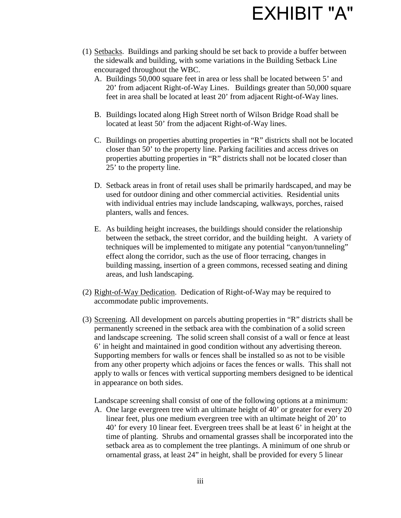

- (1) Setbacks. Buildings and parking should be set back to provide a buffer between the sidewalk and building, with some variations in the Building Setback Line encouraged throughout the WBC.
	- A. Buildings 50,000 square feet in area or less shall be located between 5' and 20' from adjacent Right-of-Way Lines. Buildings greater than 50,000 square feet in area shall be located at least 20' from adjacent Right-of-Way lines.
	- B. Buildings located along High Street north of Wilson Bridge Road shall be located at least 50' from the adjacent Right-of-Way lines.
	- C. Buildings on properties abutting properties in "R" districts shall not be located closer than 50' to the property line. Parking facilities and access drives on properties abutting properties in "R" districts shall not be located closer than 25' to the property line.
	- D. Setback areas in front of retail uses shall be primarily hardscaped, and may be used for outdoor dining and other commercial activities. Residential units with individual entries may include landscaping, walkways, porches, raised planters, walls and fences.
	- E. As building height increases, the buildings should consider the relationship between the setback, the street corridor, and the building height. A variety of techniques will be implemented to mitigate any potential "canyon/tunneling" effect along the corridor, such as the use of floor terracing, changes in building massing, insertion of a green commons, recessed seating and dining areas, and lush landscaping.
- (2) Right-of-Way Dedication. Dedication of Right-of-Way may be required to accommodate public improvements.
- (3) Screening. All development on parcels abutting properties in "R" districts shall be permanently screened in the setback area with the combination of a solid screen and landscape screening. The solid screen shall consist of a wall or fence at least 6' in height and maintained in good condition without any advertising thereon. Supporting members for walls or fences shall be installed so as not to be visible from any other property which adjoins or faces the fences or walls. This shall not apply to walls or fences with vertical supporting members designed to be identical in appearance on both sides.

Landscape screening shall consist of one of the following options at a minimum:

A. One large evergreen tree with an ultimate height of 40' or greater for every 20 linear feet, plus one medium evergreen tree with an ultimate height of 20' to 40' for every 10 linear feet. Evergreen trees shall be at least 6' in height at the time of planting. Shrubs and ornamental grasses shall be incorporated into the setback area as to complement the tree plantings. A minimum of one shrub or ornamental grass, at least 24" in height, shall be provided for every 5 linear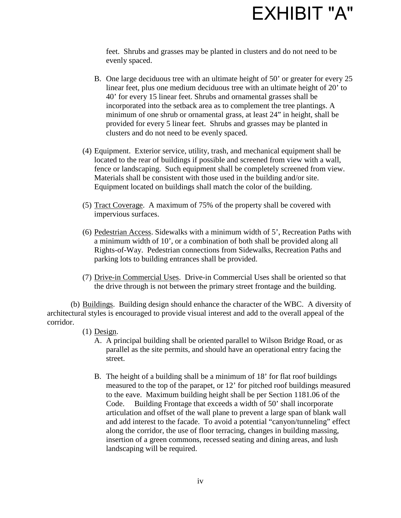

feet. Shrubs and grasses may be planted in clusters and do not need to be evenly spaced.

- B. One large deciduous tree with an ultimate height of 50' or greater for every 25 linear feet, plus one medium deciduous tree with an ultimate height of 20' to 40' for every 15 linear feet. Shrubs and ornamental grasses shall be incorporated into the setback area as to complement the tree plantings. A minimum of one shrub or ornamental grass, at least 24" in height, shall be provided for every 5 linear feet. Shrubs and grasses may be planted in clusters and do not need to be evenly spaced.
- (4) Equipment. Exterior service, utility, trash, and mechanical equipment shall be located to the rear of buildings if possible and screened from view with a wall, fence or landscaping. Such equipment shall be completely screened from view. Materials shall be consistent with those used in the building and/or site. Equipment located on buildings shall match the color of the building.
- (5) Tract Coverage. A maximum of 75% of the property shall be covered with impervious surfaces.
- (6) Pedestrian Access. Sidewalks with a minimum width of 5', Recreation Paths with a minimum width of 10', or a combination of both shall be provided along all Rights-of-Way. Pedestrian connections from Sidewalks, Recreation Paths and parking lots to building entrances shall be provided.
- (7) Drive-in Commercial Uses. Drive-in Commercial Uses shall be oriented so that the drive through is not between the primary street frontage and the building.

(b) Buildings. Building design should enhance the character of the WBC. A diversity of architectural styles is encouraged to provide visual interest and add to the overall appeal of the corridor.

- (1) Design.
	- A. A principal building shall be oriented parallel to Wilson Bridge Road, or as parallel as the site permits, and should have an operational entry facing the street.
	- B. The height of a building shall be a minimum of 18' for flat roof buildings measured to the top of the parapet, or 12' for pitched roof buildings measured to the eave. Maximum building height shall be per Section 1181.06 of the Code. Building Frontage that exceeds a width of 50' shall incorporate articulation and offset of the wall plane to prevent a large span of blank wall and add interest to the facade. To avoid a potential "canyon/tunneling" effect along the corridor, the use of floor terracing, changes in building massing, insertion of a green commons, recessed seating and dining areas, and lush landscaping will be required.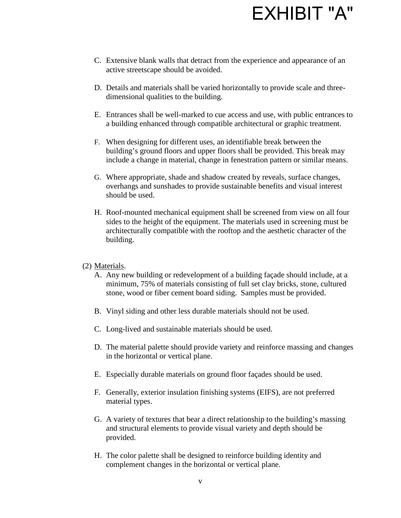- C. Extensive blank walls that detract from the experience and appearance of an active streetscape should be avoided.
- D. Details and materials shall be varied horizontally to provide scale and threedimensional qualities to the building.
- E. Entrances shall be well-marked to cue access and use, with public entrances to a building enhanced through compatible architectural or graphic treatment.
- F. When designing for different uses, an identifiable break between the building's ground floors and upper floors shall be provided. This break may include a change in material, change in fenestration pattern or similar means.
- G. Where appropriate, shade and shadow created by reveals, surface changes, overhangs and sunshades to provide sustainable benefits and visual interest should be used.
- H. Roof-mounted mechanical equipment shall be screened from view on all four sides to the height of the equipment. The materials used in screening must be architecturally compatible with the rooftop and the aesthetic character of the building.
- (2) Materials.
	- A. Any new building or redevelopment of a building façade should include, at a minimum, 75% of materials consisting of full set clay bricks, stone, cultured stone, wood or fiber cement board siding. Samples must be provided.
	- B. Vinyl siding and other less durable materials should not be used.
	- C. Long-lived and sustainable materials should be used.
	- D. The material palette should provide variety and reinforce massing and changes in the horizontal or vertical plane.
	- E. Especially durable materials on ground floor façades should be used.
	- F. Generally, exterior insulation finishing systems (EIFS), are not preferred material types.
	- G. A variety of textures that bear a direct relationship to the building's massing and structural elements to provide visual variety and depth should be provided.
	- H. The color palette shall be designed to reinforce building identity and complement changes in the horizontal or vertical plane.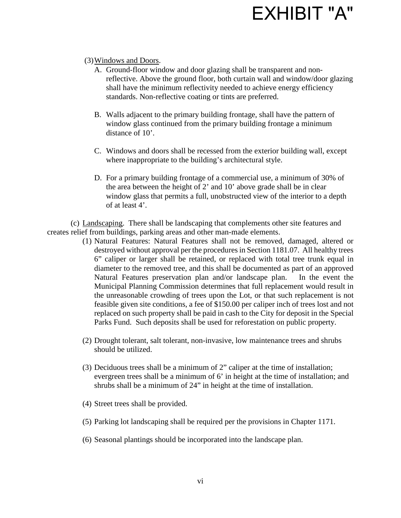### (3) Windows and Doors.

- A. Ground-floor window and door glazing shall be transparent and nonreflective. Above the ground floor, both curtain wall and window/door glazing shall have the minimum reflectivity needed to achieve energy efficiency standards. Non-reflective coating or tints are preferred.
- B. Walls adjacent to the primary building frontage, shall have the pattern of window glass continued from the primary building frontage a minimum distance of 10<sup>'</sup>.
- C. Windows and doors shall be recessed from the exterior building wall, except where inappropriate to the building's architectural style.
- D. For a primary building frontage of a commercial use, a minimum of 30% of the area between the height of 2' and 10' above grade shall be in clear window glass that permits a full, unobstructed view of the interior to a depth of at least 4'.

(c) Landscaping. There shall be landscaping that complements other site features and creates relief from buildings, parking areas and other man-made elements.

- (1) Natural Features: Natural Features shall not be removed, damaged, altered or destroyed without approval per the procedures in Section 1181.07. All healthy trees 6" caliper or larger shall be retained, or replaced with total tree trunk equal in diameter to the removed tree, and this shall be documented as part of an approved Natural Features preservation plan and/or landscape plan. In the event the Municipal Planning Commission determines that full replacement would result in the unreasonable crowding of trees upon the Lot, or that such replacement is not feasible given site conditions, a fee of \$150.00 per caliper inch of trees lost and not replaced on such property shall be paid in cash to the City for deposit in the Special Parks Fund. Such deposits shall be used for reforestation on public property.
- (2) Drought tolerant, salt tolerant, non-invasive, low maintenance trees and shrubs should be utilized.
- (3) Deciduous trees shall be a minimum of 2" caliper at the time of installation; evergreen trees shall be a minimum of 6' in height at the time of installation; and shrubs shall be a minimum of 24" in height at the time of installation.
- (4) Street trees shall be provided.
- (5) Parking lot landscaping shall be required per the provisions in Chapter 1171.
- (6) Seasonal plantings should be incorporated into the landscape plan.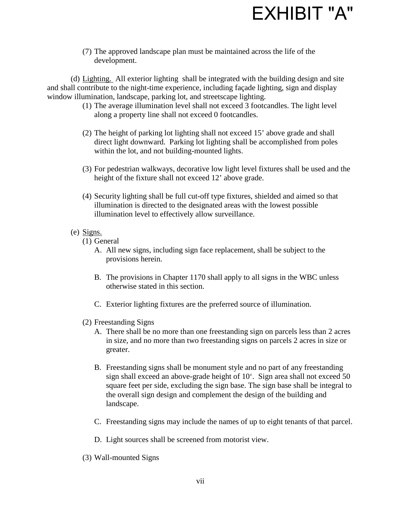(7) The approved landscape plan must be maintained across the life of the development.

(d) Lighting. All exterior lighting shall be integrated with the building design and site and shall contribute to the night-time experience, including façade lighting, sign and display window illumination, landscape, parking lot, and streetscape lighting.

- (1) The average illumination level shall not exceed 3 footcandles. The light level along a property line shall not exceed 0 footcandles.
- (2) The height of parking lot lighting shall not exceed 15' above grade and shall direct light downward. Parking lot lighting shall be accomplished from poles within the lot, and not building-mounted lights.
- (3) For pedestrian walkways, decorative low light level fixtures shall be used and the height of the fixture shall not exceed 12' above grade.
- (4) Security lighting shall be full cut-off type fixtures, shielded and aimed so that illumination is directed to the designated areas with the lowest possible illumination level to effectively allow surveillance.
- (e) Signs.
	- (1) General
		- A. All new signs, including sign face replacement, shall be subject to the provisions herein.
		- B. The provisions in Chapter 1170 shall apply to all signs in the WBC unless otherwise stated in this section.
		- C. Exterior lighting fixtures are the preferred source of illumination.
	- (2) Freestanding Signs
		- A. There shall be no more than one freestanding sign on parcels less than 2 acres in size, and no more than two freestanding signs on parcels 2 acres in size or greater.
		- B. Freestanding signs shall be monument style and no part of any freestanding sign shall exceed an above-grade height of 10'. Sign area shall not exceed 50 square feet per side, excluding the sign base. The sign base shall be integral to the overall sign design and complement the design of the building and landscape.
		- C. Freestanding signs may include the names of up to eight tenants of that parcel.
		- D. Light sources shall be screened from motorist view.
	- (3) Wall-mounted Signs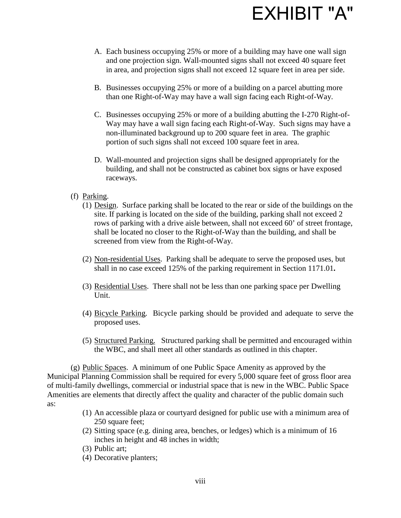

- A. Each business occupying 25% or more of a building may have one wall sign and one projection sign. Wall-mounted signs shall not exceed 40 square feet in area, and projection signs shall not exceed 12 square feet in area per side.
- B. Businesses occupying 25% or more of a building on a parcel abutting more than one Right-of-Way may have a wall sign facing each Right-of-Way.
- C. Businesses occupying 25% or more of a building abutting the I-270 Right-of-Way may have a wall sign facing each Right-of-Way. Such signs may have a non-illuminated background up to 200 square feet in area. The graphic portion of such signs shall not exceed 100 square feet in area.
- D. Wall-mounted and projection signs shall be designed appropriately for the building, and shall not be constructed as cabinet box signs or have exposed raceways.
- (f) Parking.
	- (1) Design. Surface parking shall be located to the rear or side of the buildings on the site. If parking is located on the side of the building, parking shall not exceed 2 rows of parking with a drive aisle between, shall not exceed 60' of street frontage, shall be located no closer to the Right-of-Way than the building, and shall be screened from view from the Right-of-Way.
	- (2) Non-residential Uses. Parking shall be adequate to serve the proposed uses, but shall in no case exceed 125% of the parking requirement in Section 1171.01**.**
	- (3) Residential Uses. There shall not be less than one parking space per Dwelling Unit.
	- (4) Bicycle Parking. Bicycle parking should be provided and adequate to serve the proposed uses.
	- (5) Structured Parking. Structured parking shall be permitted and encouraged within the WBC, and shall meet all other standards as outlined in this chapter.

(g) Public Spaces. A minimum of one Public Space Amenity as approved by the Municipal Planning Commission shall be required for every 5,000 square feet of gross floor area of multi-family dwellings, commercial or industrial space that is new in the WBC. Public Space Amenities are elements that directly affect the quality and character of the public domain such as:

- (1) An accessible plaza or courtyard designed for public use with a minimum area of 250 square feet:
- (2) Sitting space (e.g. dining area, benches, or ledges) which is a minimum of 16 inches in height and 48 inches in width;
- (3) Public art;
- (4) Decorative planters;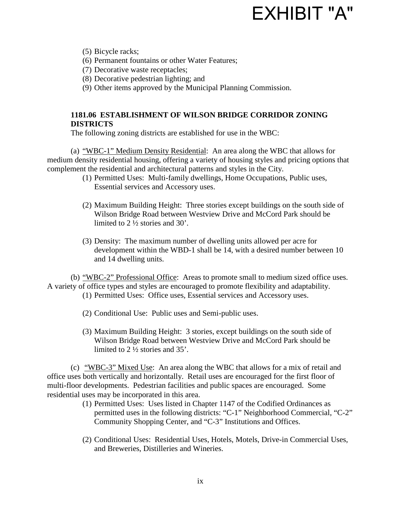(5) Bicycle racks;

- (6) Permanent fountains or other Water Features;
- (7) Decorative waste receptacles;
- (8) Decorative pedestrian lighting; and
- (9) Other items approved by the Municipal Planning Commission.

### **1181.06 ESTABLISHMENT OF WILSON BRIDGE CORRIDOR ZONING DISTRICTS**

The following zoning districts are established for use in the WBC:

(a) "WBC-1" Medium Density Residential: An area along the WBC that allows for medium density residential housing, offering a variety of housing styles and pricing options that complement the residential and architectural patterns and styles in the City.

- (1) Permitted Uses: Multi-family dwellings, Home Occupations, Public uses, Essential services and Accessory uses.
- (2) Maximum Building Height: Three stories except buildings on the south side of Wilson Bridge Road between Westview Drive and McCord Park should be limited to 2 ½ stories and 30'.
- (3) Density: The maximum number of dwelling units allowed per acre for development within the WBD-1 shall be 14, with a desired number between 10 and 14 dwelling units.

(b) "WBC-2" Professional Office: Areas to promote small to medium sized office uses. A variety of office types and styles are encouraged to promote flexibility and adaptability.

- (1) Permitted Uses: Office uses, Essential services and Accessory uses.
- (2) Conditional Use: Public uses and Semi-public uses.
- (3) Maximum Building Height: 3 stories, except buildings on the south side of Wilson Bridge Road between Westview Drive and McCord Park should be limited to 2 ½ stories and 35'.

(c) "WBC-3" Mixed Use: An area along the WBC that allows for a mix of retail and office uses both vertically and horizontally. Retail uses are encouraged for the first floor of multi-floor developments. Pedestrian facilities and public spaces are encouraged. Some residential uses may be incorporated in this area.

- (1) Permitted Uses: Uses listed in Chapter 1147 of the Codified Ordinances as permitted uses in the following districts: "C-1" Neighborhood Commercial, "C-2" Community Shopping Center, and "C-3" Institutions and Offices.
- (2) Conditional Uses: Residential Uses, Hotels, Motels, Drive-in Commercial Uses, and Breweries, Distilleries and Wineries.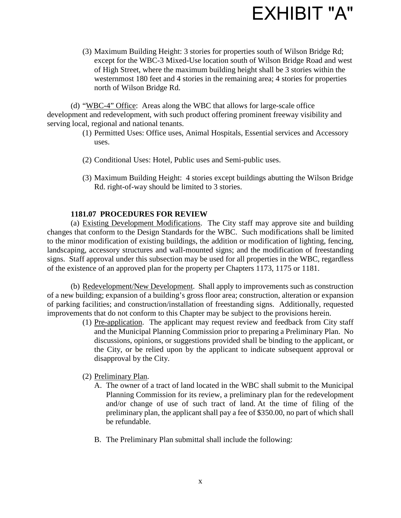

(3) Maximum Building Height: 3 stories for properties south of Wilson Bridge Rd; except for the WBC-3 Mixed-Use location south of Wilson Bridge Road and west of High Street, where the maximum building height shall be 3 stories within the westernmost 180 feet and 4 stories in the remaining area; 4 stories for properties north of Wilson Bridge Rd.

(d) "WBC-4" Office: Areas along the WBC that allows for large-scale office development and redevelopment, with such product offering prominent freeway visibility and serving local, regional and national tenants.

- (1) Permitted Uses: Office uses, Animal Hospitals, Essential services and Accessory uses.
- (2) Conditional Uses: Hotel, Public uses and Semi-public uses.
- (3) Maximum Building Height: 4 stories except buildings abutting the Wilson Bridge Rd. right-of-way should be limited to 3 stories.

### **1181.07 PROCEDURES FOR REVIEW**

(a) Existing Development Modifications. The City staff may approve site and building changes that conform to the Design Standards for the WBC. Such modifications shall be limited to the minor modification of existing buildings, the addition or modification of lighting, fencing, landscaping, accessory structures and wall-mounted signs; and the modification of freestanding signs. Staff approval under this subsection may be used for all properties in the WBC, regardless of the existence of an approved plan for the property per Chapters 1173, 1175 or 1181.

(b) Redevelopment/New Development. Shall apply to improvements such as construction of a new building; expansion of a building's gross floor area; construction, alteration or expansion of parking facilities; and construction/installation of freestanding signs. Additionally, requested improvements that do not conform to this Chapter may be subject to the provisions herein.

- (1) Pre-application. The applicant may request review and feedback from City staff and the Municipal Planning Commission prior to preparing a Preliminary Plan. No discussions, opinions, or suggestions provided shall be binding to the applicant, or the City, or be relied upon by the applicant to indicate subsequent approval or disapproval by the City.
- (2) Preliminary Plan.
	- A. The owner of a tract of land located in the WBC shall submit to the Municipal Planning Commission for its review, a preliminary plan for the redevelopment and/or change of use of such tract of land. At the time of filing of the preliminary plan, the applicant shall pay a fee of \$350.00, no part of which shall be refundable.
	- B. The Preliminary Plan submittal shall include the following: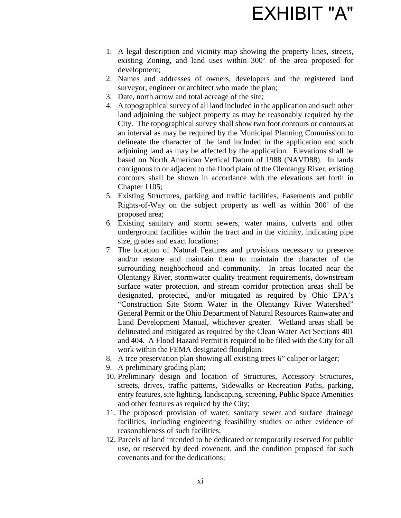- 1. A legal description and vicinity map showing the property lines, streets, existing Zoning, and land uses within 300' of the area proposed for development;
- 2. Names and addresses of owners, developers and the registered land surveyor, engineer or architect who made the plan;
- 3. Date, north arrow and total acreage of the site;
- 4. A topographical survey of all land included in the application and such other land adjoining the subject property as may be reasonably required by the City. The topographical survey shall show two foot contours or contours at an interval as may be required by the Municipal Planning Commission to delineate the character of the land included in the application and such adjoining land as may be affected by the application. Elevations shall be based on North American Vertical Datum of 1988 (NAVD88). In lands contiguous to or adjacent to the flood plain of the Olentangy River, existing contours shall be shown in accordance with the elevations set forth in Chapter 1105;
- 5. Existing Structures, parking and traffic facilities, Easements and public Rights-of-Way on the subject property as well as within 300' of the proposed area;
- 6. Existing sanitary and storm sewers, water mains, culverts and other underground facilities within the tract and in the vicinity, indicating pipe size, grades and exact locations;
- 7. The location of Natural Features and provisions necessary to preserve and/or restore and maintain them to maintain the character of the surrounding neighborhood and community. In areas located near the Olentangy River, stormwater quality treatment requirements, downstream surface water protection, and stream corridor protection areas shall be designated, protected, and/or mitigated as required by Ohio EPA's "Construction Site Storm Water in the Olentangy River Watershed" General Permit or the Ohio Department of Natural Resources Rainwater and Land Development Manual, whichever greater. Wetland areas shall be delineated and mitigated as required by the Clean Water Act Sections 401 and 404. A Flood Hazard Permit is required to be filed with the City for all work within the FEMA designated floodplain.
- 8. A tree preservation plan showing all existing trees 6" caliper or larger;
- 9. A preliminary grading plan;
- 10. Preliminary design and location of Structures, Accessory Structures, streets, drives, traffic patterns, Sidewalks or Recreation Paths, parking, entry features, site lighting, landscaping, screening, Public Space Amenities and other features as required by the City;
- 11. The proposed provision of water, sanitary sewer and surface drainage facilities, including engineering feasibility studies or other evidence of reasonableness of such facilities;
- 12. Parcels of land intended to be dedicated or temporarily reserved for public use, or reserved by deed covenant, and the condition proposed for such covenants and for the dedications;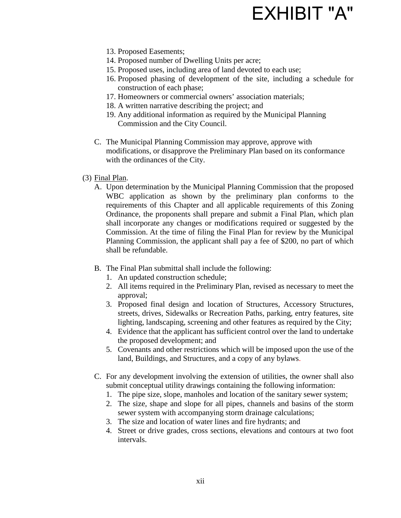- 13. Proposed Easements;
- 14. Proposed number of Dwelling Units per acre;
- 15. Proposed uses, including area of land devoted to each use;
- 16. Proposed phasing of development of the site, including a schedule for construction of each phase;
- 17. Homeowners or commercial owners' association materials;
- 18. A written narrative describing the project; and
- 19. Any additional information as required by the Municipal Planning Commission and the City Council.
- C. The Municipal Planning Commission may approve, approve with modifications, or disapprove the Preliminary Plan based on its conformance with the ordinances of the City.
- (3) Final Plan.
	- A. Upon determination by the Municipal Planning Commission that the proposed WBC application as shown by the preliminary plan conforms to the requirements of this Chapter and all applicable requirements of this Zoning Ordinance, the proponents shall prepare and submit a Final Plan, which plan shall incorporate any changes or modifications required or suggested by the Commission. At the time of filing the Final Plan for review by the Municipal Planning Commission, the applicant shall pay a fee of \$200, no part of which shall be refundable.
	- B. The Final Plan submittal shall include the following:
		- 1. An updated construction schedule;
		- 2. All items required in the Preliminary Plan, revised as necessary to meet the approval;
		- 3. Proposed final design and location of Structures, Accessory Structures, streets, drives, Sidewalks or Recreation Paths, parking, entry features, site lighting, landscaping, screening and other features as required by the City;
		- 4. Evidence that the applicant has sufficient control over the land to undertake the proposed development; and
		- 5. Covenants and other restrictions which will be imposed upon the use of the land, Buildings, and Structures, and a copy of any bylaws.
	- C. For any development involving the extension of utilities, the owner shall also submit conceptual utility drawings containing the following information:
		- 1. The pipe size, slope, manholes and location of the sanitary sewer system;
		- 2. The size, shape and slope for all pipes, channels and basins of the storm sewer system with accompanying storm drainage calculations;
		- 3. The size and location of water lines and fire hydrants; and
		- 4. Street or drive grades, cross sections, elevations and contours at two foot intervals.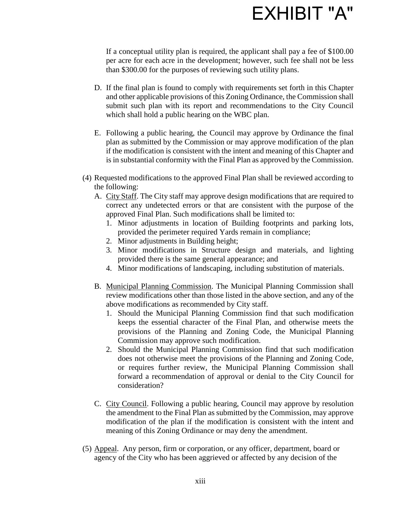If a conceptual utility plan is required, the applicant shall pay a fee of \$100.00 per acre for each acre in the development; however, such fee shall not be less than \$300.00 for the purposes of reviewing such utility plans.

- D. If the final plan is found to comply with requirements set forth in this Chapter and other applicable provisions of this Zoning Ordinance, the Commission shall submit such plan with its report and recommendations to the City Council which shall hold a public hearing on the WBC plan.
- E. Following a public hearing, the Council may approve by Ordinance the final plan as submitted by the Commission or may approve modification of the plan if the modification is consistent with the intent and meaning of this Chapter and is in substantial conformity with the Final Plan as approved by the Commission.
- (4) Requested modifications to the approved Final Plan shall be reviewed according to the following:
	- A. City Staff. The City staff may approve design modifications that are required to correct any undetected errors or that are consistent with the purpose of the approved Final Plan. Such modifications shall be limited to:
		- 1. Minor adjustments in location of Building footprints and parking lots, provided the perimeter required Yards remain in compliance;
		- 2. Minor adjustments in Building height;
		- 3. Minor modifications in Structure design and materials, and lighting provided there is the same general appearance; and
		- 4. Minor modifications of landscaping, including substitution of materials.
	- B. Municipal Planning Commission. The Municipal Planning Commission shall review modifications other than those listed in the above section, and any of the above modifications as recommended by City staff.
		- 1. Should the Municipal Planning Commission find that such modification keeps the essential character of the Final Plan, and otherwise meets the provisions of the Planning and Zoning Code, the Municipal Planning Commission may approve such modification.
		- 2. Should the Municipal Planning Commission find that such modification does not otherwise meet the provisions of the Planning and Zoning Code, or requires further review, the Municipal Planning Commission shall forward a recommendation of approval or denial to the City Council for consideration?
	- C. City Council. Following a public hearing, Council may approve by resolution the amendment to the Final Plan as submitted by the Commission, may approve modification of the plan if the modification is consistent with the intent and meaning of this Zoning Ordinance or may deny the amendment.
- (5) Appeal. Any person, firm or corporation, or any officer, department, board or agency of the City who has been aggrieved or affected by any decision of the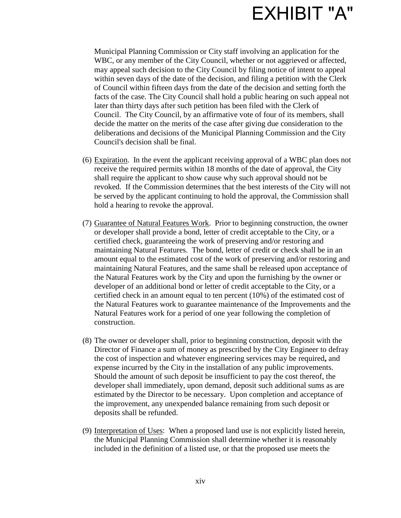

Municipal Planning Commission or City staff involving an application for the WBC, or any member of the City Council, whether or not aggrieved or affected, may appeal such decision to the City Council by filing notice of intent to appeal within seven days of the date of the decision, and filing a petition with the Clerk of Council within fifteen days from the date of the decision and setting forth the facts of the case. The City Council shall hold a public hearing on such appeal not later than thirty days after such petition has been filed with the Clerk of Council. The City Council, by an affirmative vote of four of its members, shall decide the matter on the merits of the case after giving due consideration to the deliberations and decisions of the Municipal Planning Commission and the City Council's decision shall be final.

- (6) Expiration. In the event the applicant receiving approval of a WBC plan does not receive the required permits within 18 months of the date of approval, the City shall require the applicant to show cause why such approval should not be revoked. If the Commission determines that the best interests of the City will not be served by the applicant continuing to hold the approval, the Commission shall hold a hearing to revoke the approval.
- (7) Guarantee of Natural Features Work. Prior to beginning construction, the owner or developer shall provide a bond, letter of credit acceptable to the City, or a certified check, guaranteeing the work of preserving and/or restoring and maintaining Natural Features. The bond, letter of credit or check shall be in an amount equal to the estimated cost of the work of preserving and/or restoring and maintaining Natural Features, and the same shall be released upon acceptance of the Natural Features work by the City and upon the furnishing by the owner or developer of an additional bond or letter of credit acceptable to the City, or a certified check in an amount equal to ten percent (10%) of the estimated cost of the Natural Features work to guarantee maintenance of the Improvements and the Natural Features work for a period of one year following the completion of construction.
- (8) The owner or developer shall, prior to beginning construction, deposit with the Director of Finance a sum of money as prescribed by the City Engineer to defray the cost of inspection and whatever engineering services may be required**,** and expense incurred by the City in the installation of any public improvements. Should the amount of such deposit be insufficient to pay the cost thereof, the developer shall immediately, upon demand, deposit such additional sums as are estimated by the Director to be necessary. Upon completion and acceptance of the improvement, any unexpended balance remaining from such deposit or deposits shall be refunded.
- (9) Interpretation of Uses: When a proposed land use is not explicitly listed herein, the Municipal Planning Commission shall determine whether it is reasonably included in the definition of a listed use, or that the proposed use meets the